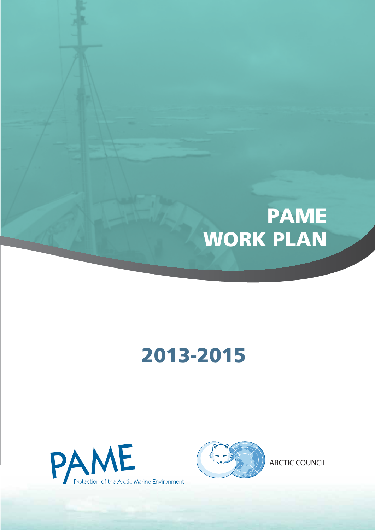# **PAME WORK PLAN**

# **2013-2015**





ARCTIC COUNCIL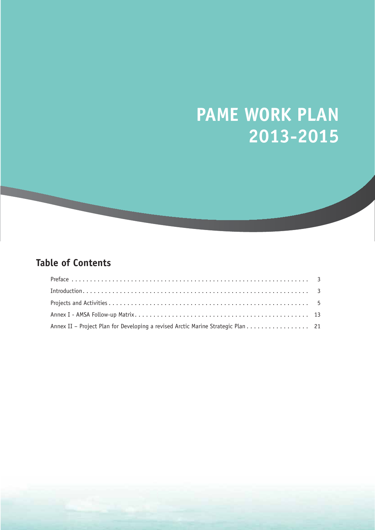# **PAME WORK PLAN 2013-2015**

# **Table of Contents**

| Annex II - Project Plan for Developing a revised Arctic Marine Strategic Plan 21 |  |
|----------------------------------------------------------------------------------|--|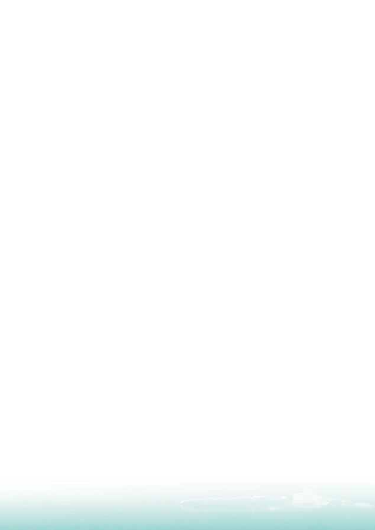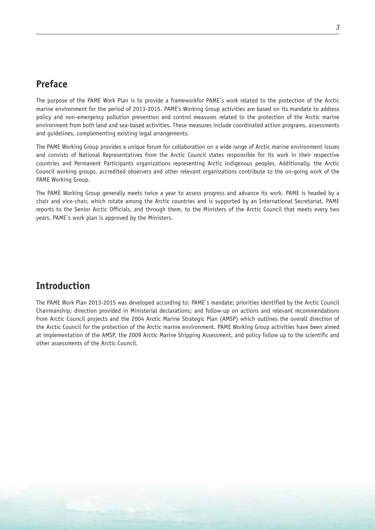#### **Preface**

The purpose of the PAME Work Plan is to provide a frameworkfor PAME´s work related to the protection of the Arctic marine environment for the period of 2013-2015. PAME's Working Group activities are based on its mandate to address policy and non-emergency pollution prevention and control measures related to the protection of the Arctic marine environment from both land and sea-based activities. These measures include coordinated action programs, assessments and guidelines, complementing existing legal arrangements.

The PAME Working Group provides a unique forum for collaboration on a wide range of Arctic marine environment issues and consists of National Representatives from the Arctic Council states responsible for its work in their respective countries and Permanent Participants organizations representing Arctic indigenous peoples. Additionally, the Arctic Council working groups, accredited observers and other relevant organizations contribute to the on-going work of the PAME Working Group.

The PAME Working Group generally meets twice a year to assess progress and advance its work. PAME is headed by a chair and vice-chair, which rotate among the Arctic countries and is supported by an International Secretariat. PAME reports to the Senior Arctic Officials, and through them, to the Ministers of the Arctic Council that meets every two years. PAME`s work plan is approved by the Ministers.

## **Introduction**

The PAME Work Plan 2013-2015 was developed according to: PAME`s mandate; priorities identified by the Arctic Council Chairmanship; direction provided in Ministerial declarations; and follow-up on actions and relevant recommendations from Arctic Council projects and the 2004 Arctic Marine Strategic Plan (AMSP) which outlines the overall direction of the Arctic Council for the protection of the Arctic marine environment. PAME Working Group activities have been aimed at implementation of the AMSP, the 2009 Arctic Marine Shipping Assessment, and policy follow up to the scientific and other assessments of the Arctic Council.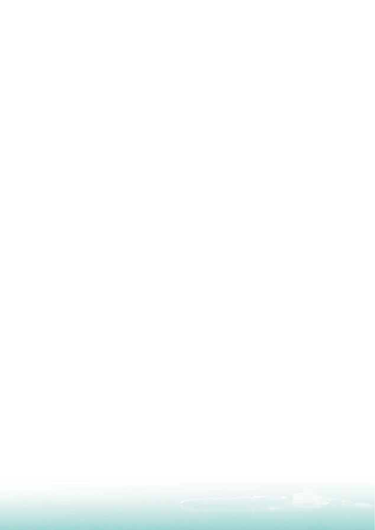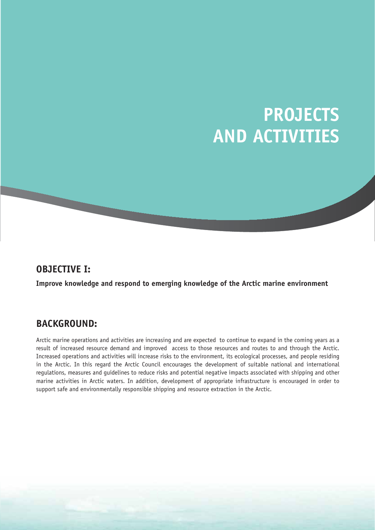# **PROJECTS AND ACTIVITIES**

#### **OBJECTIVE I:**

**Improve knowledge and respond to emerging knowledge of the Arctic marine environment**

#### **BACKGROUND:**

Arctic marine operations and activities are increasing and are expected to continue to expand in the coming years as a result of increased resource demand and improved access to those resources and routes to and through the Arctic. Increased operations and activities will increase risks to the environment, its ecological processes, and people residing in the Arctic. In this regard the Arctic Council encourages the development of suitable national and international regulations, measures and guidelines to reduce risks and potential negative impacts associated with shipping and other marine activities in Arctic waters. In addition, development of appropriate infrastructure is encouraged in order to support safe and environmentally responsible shipping and resource extraction in the Arctic.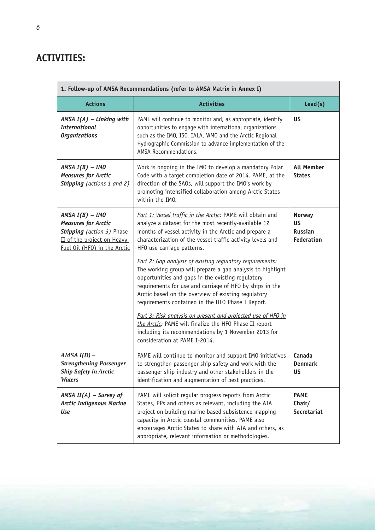# **ACTIVITIES:**

| 1. Follow-up of AMSA Recommendations (refer to AMSA Matrix in Annex I)                                                                            |                                                                                                                                                                                                                                                                                                                                                      |                                                                   |  |
|---------------------------------------------------------------------------------------------------------------------------------------------------|------------------------------------------------------------------------------------------------------------------------------------------------------------------------------------------------------------------------------------------------------------------------------------------------------------------------------------------------------|-------------------------------------------------------------------|--|
| <b>Actions</b>                                                                                                                                    | <b>Activities</b><br>Lead(s)                                                                                                                                                                                                                                                                                                                         |                                                                   |  |
| AMSA $I(A)$ – Linking with<br><b>International</b><br><b>Organizations</b>                                                                        | PAME will continue to monitor and, as appropriate, identify<br>opportunities to engage with international organizations<br>such as the IMO, ISO, IALA, WMO and the Arctic Regional<br>Hydrographic Commission to advance implementation of the<br>AMSA Recommendations.                                                                              | <b>US</b>                                                         |  |
| AMSA $I(B)$ - IMO<br><b>Measures for Arctic</b><br><b>Shipping</b> (actions 1 and 2)                                                              | Work is ongoing in the IMO to develop a mandatory Polar<br>Code with a target completion date of 2014. PAME, at the<br>direction of the SAOs, will support the IMO's work by<br>promoting intensified collaboration among Arctic States<br>within the IMO.                                                                                           | <b>All Member</b><br><b>States</b>                                |  |
| AMSA $I(B)$ - IMO<br><b>Measures for Arctic</b><br><b>Shipping</b> (action 3) Phase<br>II of the project on Heavy<br>Fuel Oil (HFO) in the Arctic | Part 1: Vessel traffic in the Arctic: PAME will obtain and<br>analyze a dataset for the most recently-available 12<br>months of vessel activity in the Arctic and prepare a<br>characterization of the vessel traffic activity levels and<br>HFO use carriage patterns.                                                                              | <b>Norway</b><br><b>US</b><br><b>Russian</b><br><b>Federation</b> |  |
|                                                                                                                                                   | Part 2: Gap analysis of existing regulatory requirements:<br>The working group will prepare a gap analysis to highlight<br>opportunities and gaps in the existing regulatory<br>requirements for use and carriage of HFO by ships in the<br>Arctic based on the overview of existing regulatory<br>requirements contained in the HFO Phase I Report. |                                                                   |  |
|                                                                                                                                                   | Part 3: Risk analysis on present and projected use of HFO in<br>the Arctic: PAME will finalize the HFO Phase II report<br>including its recommendations by 1 November 2013 for<br>consideration at PAME I-2014.                                                                                                                                      |                                                                   |  |
| $AMSA I(D) -$<br><b>Strengthening Passenger</b><br><b>Ship Safety in Arctic</b><br>Waters                                                         | PAME will continue to monitor and support IMO initiatives<br>to strengthen passenger ship safety and work with the<br>passenger ship industry and other stakeholders in the<br>identification and augmentation of best practices.                                                                                                                    | Canada<br><b>Denmark</b><br><b>US</b>                             |  |
| AMSA $II(A)$ – Survey of<br><b>Arctic Indigenous Marine</b><br>Use                                                                                | PAME will solicit regular progress reports from Arctic<br>States, PPs and others as relevant, including the AIA<br>project on building marine based subsistence mapping<br>capacity in Arctic coastal communities. PAME also<br>encourages Arctic States to share with AIA and others, as<br>appropriate, relevant information or methodologies.     | <b>PAME</b><br>Chair/<br>Secretariat                              |  |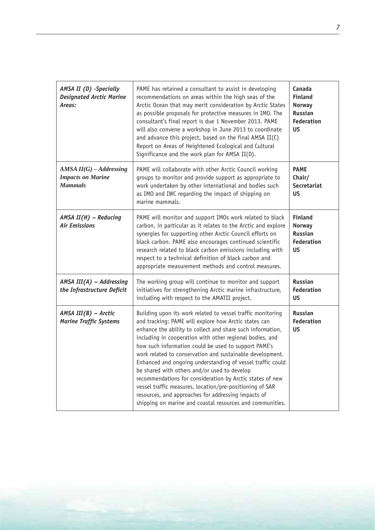| AMSA II (D) -Specially<br><b>Designated Arctic Marine</b><br>Areas:       | PAME has retained a consultant to assist in developing<br>recommendations on areas within the high seas of the<br>Arctic Ocean that may merit consideration by Arctic States<br>as possible proposals for protective measures in IMO. The<br>consultant's final report is due 1 November 2013. PAME<br>will also convene a workshop in June 2013 to coordinate<br>and advance this project, based on the final AMSA II(C)<br>Report on Areas of Heightened Ecological and Cultural<br>Significance and the work plan for AMSA II(D).                                                                                                                                                                                           | Canada<br><b>Finland</b><br><b>Norway</b><br><b>Russian</b><br><b>Federation</b><br>US |
|---------------------------------------------------------------------------|--------------------------------------------------------------------------------------------------------------------------------------------------------------------------------------------------------------------------------------------------------------------------------------------------------------------------------------------------------------------------------------------------------------------------------------------------------------------------------------------------------------------------------------------------------------------------------------------------------------------------------------------------------------------------------------------------------------------------------|----------------------------------------------------------------------------------------|
| $AMSA$ $II(G)$ – Addressing<br><b>Impacts on Marine</b><br><b>Mammals</b> | PAME will collaborate with other Arctic Council working<br>groups to monitor and provide support as appropriate to<br>work undertaken by other international and bodies such<br>as IMO and IWC regarding the impact of shipping on<br>marine mammals.                                                                                                                                                                                                                                                                                                                                                                                                                                                                          | <b>PAME</b><br>Chair/<br>Secretariat<br><b>US</b>                                      |
| AMSA $II(H)$ - Reducing<br><b>Air Emissions</b>                           | PAME will monitor and support IMOs work related to black<br>carbon, in particular as it relates to the Arctic and explore<br>synergies for supporting other Arctic Council efforts on<br>black carbon. PAME also encourages continued scientific<br>research related to black carbon emissions including with<br>respect to a technical definition of black carbon and<br>appropriate measurement methods and control measures.                                                                                                                                                                                                                                                                                                | <b>Finland</b><br><b>Norway</b><br><b>Russian</b><br><b>Federation</b><br><b>US</b>    |
| AMSA $III(A)$ - Addressing<br>the Infrastructure Deficit                  | The working group will continue to monitor and support<br>initiatives for strengthening Arctic marine infrastructure,<br>including with respect to the AMATII project.                                                                                                                                                                                                                                                                                                                                                                                                                                                                                                                                                         | <b>Russian</b><br><b>Federation</b><br><b>US</b>                                       |
| AMSA $III(B)$ - Arctic<br><b>Marine Traffic Systems</b>                   | Building upon its work related to vessel traffic monitoring<br>and tracking: PAME will explore how Arctic states can<br>enhance the ability to collect and share such information,<br>including in cooperation with other regional bodies, and<br>how such information could be used to support PAME's<br>work related to conservation and sustainable development.<br>Enhanced and ongoing understanding of vessel traffic could<br>be shared with others and/or used to develop<br>recommendations for consideration by Arctic states of new<br>vessel traffic measures, location/pre-positioning of SAR<br>resources, and approaches for addressing impacts of<br>shipping on marine and coastal resources and communities. | <b>Russian</b><br><b>Federation</b><br><b>US</b>                                       |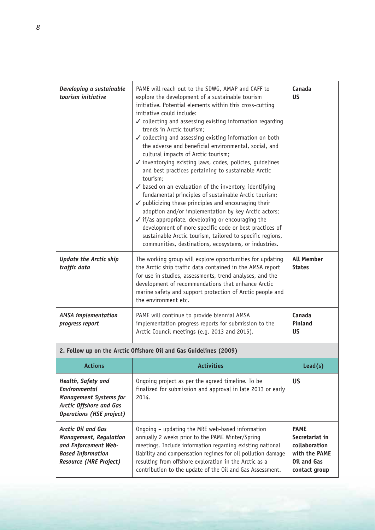| Developing a sustainable<br>tourism initiative | PAME will reach out to the SDWG, AMAP and CAFF to<br>explore the development of a sustainable tourism<br>initiative. Potential elements within this cross-cutting<br>initiative could include:<br>$\checkmark$ collecting and assessing existing information regarding<br>trends in Arctic tourism;<br>✓ collecting and assessing existing information on both<br>the adverse and beneficial environmental, social, and<br>cultural impacts of Arctic tourism;<br>√ inventorying existing laws, codes, policies, guidelines<br>and best practices pertaining to sustainable Arctic<br>tourism;<br>$\checkmark$ based on an evaluation of the inventory, identifying<br>fundamental principles of sustainable Arctic tourism;<br>$\checkmark$ publicizing these principles and encouraging their<br>adoption and/or implementation by key Arctic actors;<br>$\checkmark$ if/as appropriate, developing or encouraging the<br>development of more specific code or best practices of<br>sustainable Arctic tourism, tailored to specific regions,<br>communities, destinations, ecosystems, or industries. | Canada<br><b>US</b>                   |
|------------------------------------------------|----------------------------------------------------------------------------------------------------------------------------------------------------------------------------------------------------------------------------------------------------------------------------------------------------------------------------------------------------------------------------------------------------------------------------------------------------------------------------------------------------------------------------------------------------------------------------------------------------------------------------------------------------------------------------------------------------------------------------------------------------------------------------------------------------------------------------------------------------------------------------------------------------------------------------------------------------------------------------------------------------------------------------------------------------------------------------------------------------------|---------------------------------------|
| <b>Update the Arctic ship</b><br>traffic data  | The working group will explore opportunities for updating<br>the Arctic ship traffic data contained in the AMSA report<br>for use in studies, assessments, trend analyses, and the<br>development of recommendations that enhance Arctic<br>marine safety and support protection of Arctic people and<br>the environment etc.                                                                                                                                                                                                                                                                                                                                                                                                                                                                                                                                                                                                                                                                                                                                                                            | <b>All Member</b><br><b>States</b>    |
| <b>AMSA</b> implementation<br>progress report  | PAME will continue to provide biennial AMSA<br>implementation progress reports for submission to the<br>Arctic Council meetings (e.g. 2013 and 2015).                                                                                                                                                                                                                                                                                                                                                                                                                                                                                                                                                                                                                                                                                                                                                                                                                                                                                                                                                    | Canada<br><b>Finland</b><br><b>US</b> |

## **2. Follow up on the Arctic Offshore Oil and Gas Guidelines (2009)**

| <b>Actions</b>                                                                                                                                          | <b>Activities</b>                                                                                                                                                                                                                                                                                                                                       | $\textsf{lead}(s)$                                                                              |
|---------------------------------------------------------------------------------------------------------------------------------------------------------|---------------------------------------------------------------------------------------------------------------------------------------------------------------------------------------------------------------------------------------------------------------------------------------------------------------------------------------------------------|-------------------------------------------------------------------------------------------------|
| <b>Health, Safety and</b><br><b>Environmental</b><br><b>Management Systems for</b><br><b>Arctic Offshore and Gas</b><br><b>Operations (HSE project)</b> | Ongoing project as per the agreed timeline. To be<br>finalized for submission and approval in late 2013 or early<br>2014.                                                                                                                                                                                                                               | US                                                                                              |
| <b>Arctic Oil and Gas</b><br><b>Management, Regulation</b><br>and Enforcement Web-<br><b>Based Information</b><br><b>Resource (MRE Project)</b>         | Ongoing – updating the MRE web-based information<br>annually 2 weeks prior to the PAME Winter/Spring<br>meetings. Include information regarding existing national<br>liability and compensation regimes for oil pollution damage<br>resulting from offshore exploration in the Arctic as a<br>contribution to the update of the Oil and Gas Assessment. | <b>PAME</b><br>Secretariat in<br>collaboration<br>with the PAME<br>Oil and Gas<br>contact group |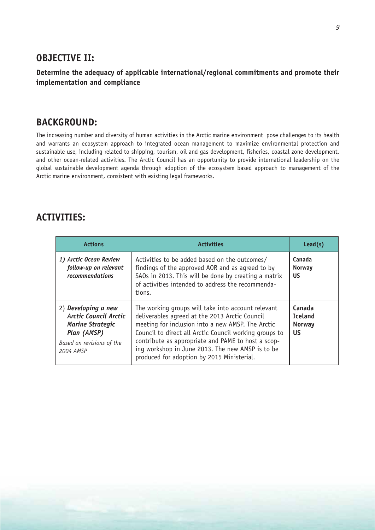#### **OBJECTIVE II:**

**Determine the adequacy of applicable international/regional commitments and promote their implementation and compliance**

#### **BACKGROUND:**

The increasing number and diversity of human activities in the Arctic marine environment pose challenges to its health and warrants an ecosystem approach to integrated ocean management to maximize environmental protection and sustainable use, including related to shipping, tourism, oil and gas development, fisheries, coastal zone development, and other ocean-related activities. The Arctic Council has an opportunity to provide international leadership on the global sustainable development agenda through adoption of the ecosystem based approach to management of the Arctic marine environment, consistent with existing legal frameworks.

## **ACTIVITIES:**

| <b>Actions</b>                                                                                                                   | <b>Activities</b>                                                                                                                                                                                                                                                                                                                                                           | Lead(s)                                                |
|----------------------------------------------------------------------------------------------------------------------------------|-----------------------------------------------------------------------------------------------------------------------------------------------------------------------------------------------------------------------------------------------------------------------------------------------------------------------------------------------------------------------------|--------------------------------------------------------|
| 1) Arctic Ocean Review<br>follow-up on relevant<br>recommendations                                                               | Activities to be added based on the outcomes/<br>findings of the approved AOR and as agreed to by<br>SAOs in 2013. This will be done by creating a matrix<br>of activities intended to address the recommenda-<br>tions.                                                                                                                                                    | Canada<br><b>Norway</b><br><b>US</b>                   |
| 2) Developing a new<br><b>Arctic Council Arctic</b><br>Marine Strategic<br>Plan (AMSP)<br>Based on revisions of the<br>2004 AMSP | The working groups will take into account relevant<br>deliverables agreed at the 2013 Arctic Council<br>meeting for inclusion into a new AMSP. The Arctic<br>Council to direct all Arctic Council working groups to<br>contribute as appropriate and PAME to host a scop-<br>ing workshop in June 2013. The new AMSP is to be<br>produced for adoption by 2015 Ministerial. | Canada<br><b>Iceland</b><br><b>Norway</b><br><b>US</b> |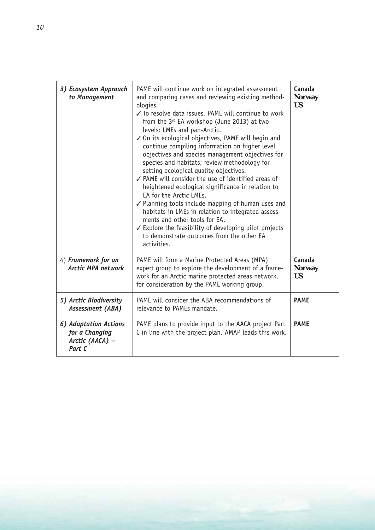| 3) Ecosystem Approach<br>to Management                               | PAME will continue work on integrated assessment<br>and comparing cases and reviewing existing method-<br>ologies.<br>✓ To resolve data issues, PAME will continue to work<br>from the $3^{rd}$ EA workshop (June 2013) at two<br>levels: LMEs and pan-Arctic.<br>✓ On its ecological objectives, PAME will begin and<br>continue compiling information on higher level<br>objectives and species management objectives for<br>species and habitats; review methodology for<br>setting ecological quality objectives.<br>✓ PAME will consider the use of identified areas of<br>heightened ecological significance in relation to<br>EA for the Arctic LMEs.<br>$\checkmark$ Planning tools include mapping of human uses and<br>habitats in LMEs in relation to integrated assess-<br>ments and other tools for EA.<br>$\checkmark$ Explore the feasibility of developing pilot projects<br>to demonstrate outcomes from the other EA<br>activities. | Canada<br>Norway<br><b>US</b> |
|----------------------------------------------------------------------|-------------------------------------------------------------------------------------------------------------------------------------------------------------------------------------------------------------------------------------------------------------------------------------------------------------------------------------------------------------------------------------------------------------------------------------------------------------------------------------------------------------------------------------------------------------------------------------------------------------------------------------------------------------------------------------------------------------------------------------------------------------------------------------------------------------------------------------------------------------------------------------------------------------------------------------------------------|-------------------------------|
| 4) Framework for an<br><b>Arctic MPA network</b>                     | PAME will form a Marine Protected Areas (MPA)<br>expert group to explore the development of a frame-<br>work for an Arctic marine protected areas network,<br>for consideration by the PAME working group.                                                                                                                                                                                                                                                                                                                                                                                                                                                                                                                                                                                                                                                                                                                                            | Canada<br>Norway<br>US        |
| 5) Arctic Biodiversity<br>Assessment (ABA)                           | PAME will consider the ABA recommendations of<br>relevance to PAMEs mandate.                                                                                                                                                                                                                                                                                                                                                                                                                                                                                                                                                                                                                                                                                                                                                                                                                                                                          | <b>PAME</b>                   |
| 6) Adaptation Actions<br>for a Changing<br>Arctic (AACA) -<br>Part C | PAME plans to provide input to the AACA project Part<br>C in line with the project plan. AMAP leads this work.                                                                                                                                                                                                                                                                                                                                                                                                                                                                                                                                                                                                                                                                                                                                                                                                                                        | <b>PAME</b>                   |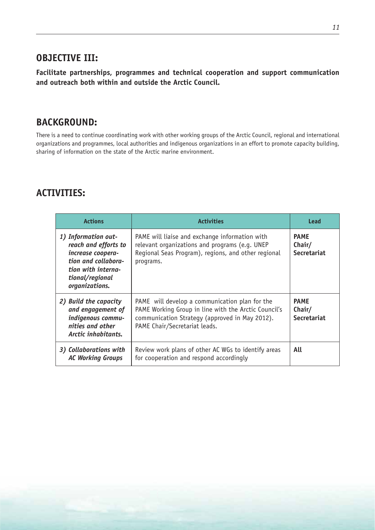## **OBJECTIVE III:**

**Facilitate partnerships, programmes and technical cooperation and support communication and outreach both within and outside the Arctic Council.**

#### **BACKGROUND:**

There is a need to continue coordinating work with other working groups of the Arctic Council, regional and international organizations and programmes, local authorities and indigenous organizations in an effort to promote capacity building, sharing of information on the state of the Arctic marine environment.

# **ACTIVITIES:**

| <b>Actions</b>                                                                                                                                     | <b>Activities</b>                                                                                                                                                                         | <b>Lead</b>                                 |
|----------------------------------------------------------------------------------------------------------------------------------------------------|-------------------------------------------------------------------------------------------------------------------------------------------------------------------------------------------|---------------------------------------------|
| 1) Information out-<br>reach and efforts to<br>increase coopera-<br>tion and collabora-<br>tion with interna-<br>tional/regional<br>organizations. | PAME will liaise and exchange information with<br>relevant organizations and programs (e.g. UNEP<br>Regional Seas Program), regions, and other regional<br>programs.                      | <b>PAME</b><br>Chair/<br><b>Secretariat</b> |
| 2) Build the capacity<br>and engagement of<br>indigenous commu-<br>nities and other<br>Arctic inhabitants.                                         | PAME will develop a communication plan for the<br>PAME Working Group in line with the Arctic Council's<br>communication Strategy (approved in May 2012).<br>PAME Chair/Secretariat leads. | <b>PAME</b><br>Chair/<br><b>Secretariat</b> |
| 3) Collaborations with<br><b>AC Working Groups</b>                                                                                                 | Review work plans of other AC WGs to identify areas<br>for cooperation and respond accordingly                                                                                            | All                                         |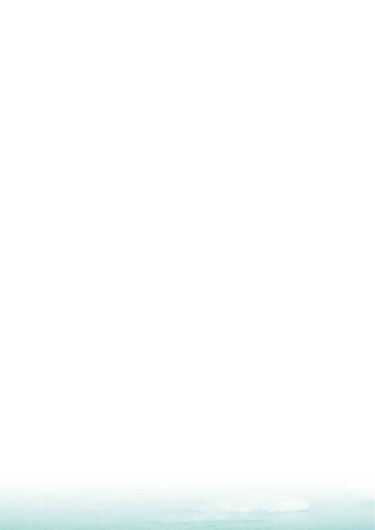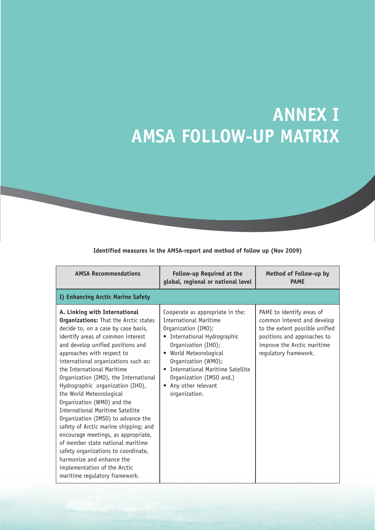# **ANNEX I AMSA FOLLOW-UP MATRIX**

| <b>AMSA Recommendations</b>                                                                                                                                                                                                                                                                                                                                                                                                                                                                                                                                                                                                                                                                                                                                                           | Follow-up Required at the<br>global, regional or national level                                                                                                                                                                                                                                                                              | Method of Follow-up by<br><b>PAME</b>                                                                                                                                             |
|---------------------------------------------------------------------------------------------------------------------------------------------------------------------------------------------------------------------------------------------------------------------------------------------------------------------------------------------------------------------------------------------------------------------------------------------------------------------------------------------------------------------------------------------------------------------------------------------------------------------------------------------------------------------------------------------------------------------------------------------------------------------------------------|----------------------------------------------------------------------------------------------------------------------------------------------------------------------------------------------------------------------------------------------------------------------------------------------------------------------------------------------|-----------------------------------------------------------------------------------------------------------------------------------------------------------------------------------|
| I) Enhancing Arctic Marine Safety                                                                                                                                                                                                                                                                                                                                                                                                                                                                                                                                                                                                                                                                                                                                                     |                                                                                                                                                                                                                                                                                                                                              |                                                                                                                                                                                   |
| A. Linking with International<br><b>Organizations: That the Arctic states</b><br>decide to, on a case by case basis,<br>identify areas of common interest<br>and develop unified positions and<br>approaches with respect to<br>international organizations such as:<br>the International Maritime<br>Organization (IMO), the International<br>Hydrographic organization (IHO),<br>the World Meteorological<br>Organization (WMO) and the<br><b>International Maritime Satellite</b><br>Organization (IMSO) to advance the<br>safety of Arctic marine shipping; and<br>encourage meetings, as appropriate,<br>of member state national maritime<br>safety organizations to coordinate,<br>harmonize and enhance the<br>implementation of the Arctic<br>maritime regulatory framework. | Cooperate as appropriate in the:<br><b>International Maritime</b><br>Organization (IMO);<br>• International Hydrographic<br>Organization (IHO);<br>World Meteorological<br>$\bullet$<br>Organization (WMO);<br>International Maritime Satellite<br>$\bullet$<br>Organization (IMSO and,)<br>Any other relevant<br>$\bullet$<br>organization. | PAME to identify areas of<br>common interest and develop<br>to the extent possible unified<br>positions and approaches to<br>improve the Arctic maritime<br>regulatory framework. |

**Identified measures in the AMSA-report and method of follow up (Nov 2009)**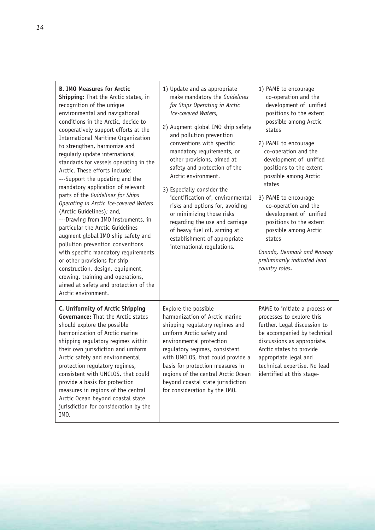| <b>B. IMO Measures for Arctic</b><br>Shipping: That the Arctic states, in<br>recognition of the unique<br>environmental and navigational<br>conditions in the Arctic, decide to<br>cooperatively support efforts at the<br>International Maritime Organization<br>to strengthen, harmonize and<br>regularly update international<br>standards for vessels operating in the<br>Arctic. These efforts include:<br>---Support the updating and the<br>mandatory application of relevant<br>parts of the Guidelines for Ships<br>Operating in Arctic Ice-covered Waters<br>(Arctic Guidelines); and,<br>---Drawing from IMO instruments, in<br>particular the Arctic Guidelines<br>augment global IMO ship safety and<br>pollution prevention conventions<br>with specific mandatory requirements<br>or other provisions for ship<br>construction, design, equipment,<br>crewing, training and operations,<br>aimed at safety and protection of the<br>Arctic environment. | 1) Update and as appropriate<br>make mandatory the Guidelines<br>for Ships Operating in Arctic<br>Ice-covered Waters,<br>2) Augment global IMO ship safety<br>and pollution prevention<br>conventions with specific<br>mandatory requirements, or<br>other provisions, aimed at<br>safety and protection of the<br>Arctic environment.<br>3) Especially consider the<br>identification of, environmental<br>risks and options for, avoiding<br>or minimizing those risks<br>regarding the use and carriage<br>of heavy fuel oil, aiming at<br>establishment of appropriate<br>international regulations. | 1) PAME to encourage<br>co-operation and the<br>development of unified<br>positions to the extent<br>possible among Arctic<br>states<br>2) PAME to encourage<br>co-operation and the<br>development of unified<br>positions to the extent<br>possible among Arctic<br>states<br>3) PAME to encourage<br>co-operation and the<br>development of unified<br>positions to the extent<br>possible among Arctic<br>states<br>Canada, Denmark and Norway<br>preliminarily indicated lead<br>country roles. |
|------------------------------------------------------------------------------------------------------------------------------------------------------------------------------------------------------------------------------------------------------------------------------------------------------------------------------------------------------------------------------------------------------------------------------------------------------------------------------------------------------------------------------------------------------------------------------------------------------------------------------------------------------------------------------------------------------------------------------------------------------------------------------------------------------------------------------------------------------------------------------------------------------------------------------------------------------------------------|----------------------------------------------------------------------------------------------------------------------------------------------------------------------------------------------------------------------------------------------------------------------------------------------------------------------------------------------------------------------------------------------------------------------------------------------------------------------------------------------------------------------------------------------------------------------------------------------------------|------------------------------------------------------------------------------------------------------------------------------------------------------------------------------------------------------------------------------------------------------------------------------------------------------------------------------------------------------------------------------------------------------------------------------------------------------------------------------------------------------|
| C. Uniformity of Arctic Shipping<br><b>Governance:</b> That the Arctic states<br>should explore the possible<br>harmonization of Arctic marine<br>shipping regulatory regimes within<br>their own jurisdiction and uniform<br>Arctic safety and environmental<br>protection regulatory regimes,<br>consistent with UNCLOS, that could<br>provide a basis for protection<br>measures in regions of the central<br>Arctic Ocean beyond coastal state<br>jurisdiction for consideration by the<br>IMO.                                                                                                                                                                                                                                                                                                                                                                                                                                                                    | Explore the possible<br>harmonization of Arctic marine<br>shipping regulatory regimes and<br>uniform Arctic safety and<br>environmental protection<br>regulatory regimes, consistent<br>with UNCLOS, that could provide a<br>basis for protection measures in<br>regions of the central Arctic Ocean<br>beyond coastal state jurisdiction<br>for consideration by the IMO.                                                                                                                                                                                                                               | PAME to initiate a process or<br>processes to explore this<br>further. Legal discussion to<br>be accompanied by technical<br>discussions as appropriate.<br>Arctic states to provide<br>appropriate legal and<br>technical expertise. No lead<br>identified at this stage-                                                                                                                                                                                                                           |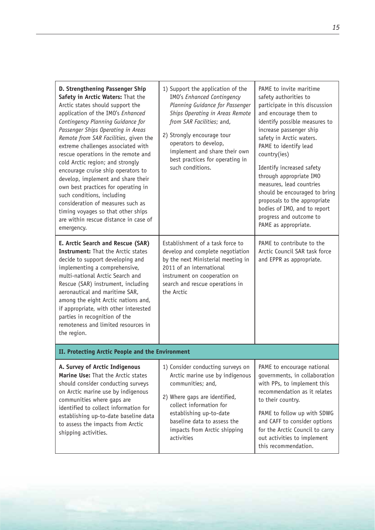| D. Strengthening Passenger Ship<br>Safety in Arctic Waters: That the<br>Arctic states should support the<br>application of the IMO's Enhanced<br>Contingency Planning Guidance for<br>Passenger Ships Operating in Areas<br>Remote from SAR Facilities, given the<br>extreme challenges associated with<br>rescue operations in the remote and<br>cold Arctic region; and strongly<br>encourage cruise ship operators to<br>develop, implement and share their<br>own best practices for operating in<br>such conditions, including<br>consideration of measures such as<br>timing voyages so that other ships<br>are within rescue distance in case of<br>emergency. | 1) Support the application of the<br>IMO's Enhanced Contingency<br>Planning Guidance for Passenger<br>Ships Operating in Areas Remote<br>from SAR Facilities; and,<br>2) Strongly encourage tour<br>operators to develop,<br>implement and share their own<br>best practices for operating in<br>such conditions. | PAME to invite maritime<br>safety authorities to<br>participate in this discussion<br>and encourage them to<br>identify possible measures to<br>increase passenger ship<br>safety in Arctic waters.<br>PAME to identify lead<br>country(ies)<br>Identify increased safety<br>through appropriate IMO<br>measures, lead countries<br>should be encouraged to bring<br>proposals to the appropriate<br>bodies of IMO, and to report<br>progress and outcome to<br>PAME as appropriate. |
|-----------------------------------------------------------------------------------------------------------------------------------------------------------------------------------------------------------------------------------------------------------------------------------------------------------------------------------------------------------------------------------------------------------------------------------------------------------------------------------------------------------------------------------------------------------------------------------------------------------------------------------------------------------------------|-------------------------------------------------------------------------------------------------------------------------------------------------------------------------------------------------------------------------------------------------------------------------------------------------------------------|--------------------------------------------------------------------------------------------------------------------------------------------------------------------------------------------------------------------------------------------------------------------------------------------------------------------------------------------------------------------------------------------------------------------------------------------------------------------------------------|
| E. Arctic Search and Rescue (SAR)<br><b>Instrument: That the Arctic states</b><br>decide to support developing and<br>implementing a comprehensive,<br>multi-national Arctic Search and<br>Rescue (SAR) instrument, including<br>aeronautical and maritime SAR,<br>among the eight Arctic nations and,<br>if appropriate, with other interested<br>parties in recognition of the<br>remoteness and limited resources in<br>the region.                                                                                                                                                                                                                                | Establishment of a task force to<br>develop and complete negotiation<br>by the next Ministerial meeting in<br>2011 of an international<br>instrument on cooperation on<br>search and rescue operations in<br>the Arctic                                                                                           | PAME to contribute to the<br>Arctic Council SAR task force<br>and EPPR as appropriate.                                                                                                                                                                                                                                                                                                                                                                                               |
| II. Protecting Arctic People and the Environment                                                                                                                                                                                                                                                                                                                                                                                                                                                                                                                                                                                                                      |                                                                                                                                                                                                                                                                                                                   |                                                                                                                                                                                                                                                                                                                                                                                                                                                                                      |
| A. Survey of Arctic Indigenous<br>Marine Use: That the Arctic states<br>should consider conducting surveys<br>on Arctic marine use by indigenous<br>communities where gaps are<br>identified to collect information for<br>establishing up-to-date baseline data<br>to assess the impacts from Arctic<br>shipping activities.                                                                                                                                                                                                                                                                                                                                         | 1) Consider conducting surveys on<br>Arctic marine use by indigenous<br>communities; and,<br>2) Where gaps are identified,<br>collect information for<br>establishing up-to-date<br>baseline data to assess the<br>impacts from Arctic shipping<br>activities                                                     | PAME to encourage national<br>governments, in collaboration<br>with PPs, to implement this<br>recommendation as it relates<br>to their country.<br>PAME to follow up with SDWG<br>and CAFF to consider options<br>for the Arctic Council to carry<br>out activities to implement<br>this recommendation.                                                                                                                                                                             |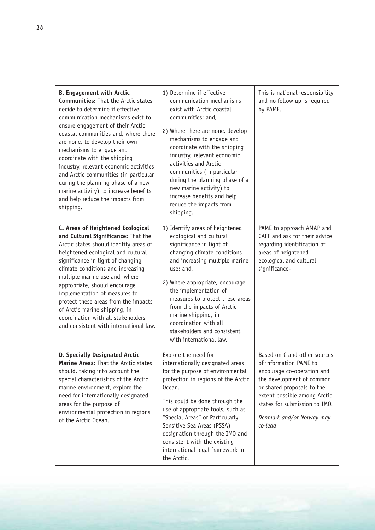| <b>B. Engagement with Arctic</b><br><b>Communities: That the Arctic states</b><br>decide to determine if effective<br>communication mechanisms exist to<br>ensure engagement of their Arctic<br>coastal communities and, where there<br>are none, to develop their own<br>mechanisms to engage and<br>coordinate with the shipping<br>industry, relevant economic activities<br>and Arctic communities (in particular<br>during the planning phase of a new<br>marine activity) to increase benefits<br>and help reduce the impacts from<br>shipping. | 1) Determine if effective<br>communication mechanisms<br>exist with Arctic coastal<br>communities; and,<br>2) Where there are none, develop<br>mechanisms to engage and<br>coordinate with the shipping<br>industry, relevant economic<br>activities and Arctic<br>communities (in particular<br>during the planning phase of a<br>new marine activity) to<br>increase benefits and help<br>reduce the impacts from<br>shipping. | This is national responsibility<br>and no follow up is required<br>by PAME.                                                                                                                                                                              |
|-------------------------------------------------------------------------------------------------------------------------------------------------------------------------------------------------------------------------------------------------------------------------------------------------------------------------------------------------------------------------------------------------------------------------------------------------------------------------------------------------------------------------------------------------------|----------------------------------------------------------------------------------------------------------------------------------------------------------------------------------------------------------------------------------------------------------------------------------------------------------------------------------------------------------------------------------------------------------------------------------|----------------------------------------------------------------------------------------------------------------------------------------------------------------------------------------------------------------------------------------------------------|
| C. Areas of Heightened Ecological<br>and Cultural Significance: That the<br>Arctic states should identify areas of<br>heightened ecological and cultural<br>significance in light of changing<br>climate conditions and increasing<br>multiple marine use and, where<br>appropriate, should encourage<br>implementation of measures to<br>protect these areas from the impacts<br>of Arctic marine shipping, in<br>coordination with all stakeholders<br>and consistent with international law.                                                       | 1) Identify areas of heightened<br>ecological and cultural<br>significance in light of<br>changing climate conditions<br>and increasing multiple marine<br>use; and,<br>2) Where appropriate, encourage<br>the implementation of<br>measures to protect these areas<br>from the impacts of Arctic<br>marine shipping, in<br>coordination with all<br>stakeholders and consistent<br>with international law.                      | PAME to approach AMAP and<br>CAFF and ask for their advice<br>regarding identification of<br>areas of heightened<br>ecological and cultural<br>significance-                                                                                             |
| D. Specially Designated Arctic<br>Marine Areas: That the Arctic states<br>should, taking into account the<br>special characteristics of the Arctic<br>marine environment, explore the<br>need for internationally designated<br>areas for the purpose of<br>environmental protection in regions<br>of the Arctic Ocean.                                                                                                                                                                                                                               | Explore the need for<br>internationally designated areas<br>for the purpose of environmental<br>protection in regions of the Arctic<br>Ocean.<br>This could be done through the<br>use of appropriate tools, such as<br>"Special Areas" or Particularly<br>Sensitive Sea Areas (PSSA)<br>designation through the IMO and<br>consistent with the existing<br>international legal framework in<br>the Arctic.                      | Based on C and other sources<br>of information PAME to<br>encourage co-operation and<br>the development of common<br>or shared proposals to the<br>extent possible among Arctic<br>states for submission to IMO.<br>Denmark and/or Norway may<br>co-lead |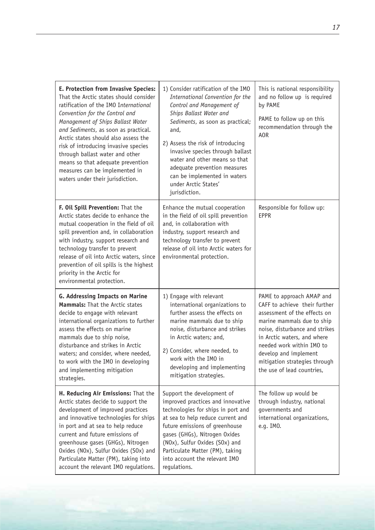| E. Protection from Invasive Species:<br>That the Arctic states should consider<br>ratification of the IMO International<br>Convention for the Control and<br>Management of Ships Ballast Water<br>and Sediments, as soon as practical.<br>Arctic states should also assess the<br>risk of introducing invasive species<br>through ballast water and other<br>means so that adequate prevention<br>measures can be implemented in<br>waters under their jurisdiction. | 1) Consider ratification of the IMO<br>International Convention for the<br>Control and Management of<br>Ships Ballast Water and<br>Sediments, as soon as practical;<br>and,<br>2) Assess the risk of introducing<br>invasive species through ballast<br>water and other means so that<br>adequate prevention measures<br>can be implemented in waters<br>under Arctic States'<br>jurisdiction. | This is national responsibility<br>and no follow up is required<br>by PAME<br>PAME to follow up on this<br>recommendation through the<br>AOR                                                                                                                                                                   |
|----------------------------------------------------------------------------------------------------------------------------------------------------------------------------------------------------------------------------------------------------------------------------------------------------------------------------------------------------------------------------------------------------------------------------------------------------------------------|------------------------------------------------------------------------------------------------------------------------------------------------------------------------------------------------------------------------------------------------------------------------------------------------------------------------------------------------------------------------------------------------|----------------------------------------------------------------------------------------------------------------------------------------------------------------------------------------------------------------------------------------------------------------------------------------------------------------|
| F. Oil Spill Prevention: That the<br>Arctic states decide to enhance the<br>mutual cooperation in the field of oil<br>spill prevention and, in collaboration<br>with industry, support research and<br>technology transfer to prevent<br>release of oil into Arctic waters, since<br>prevention of oil spills is the highest<br>priority in the Arctic for<br>environmental protection.                                                                              | Enhance the mutual cooperation<br>in the field of oil spill prevention<br>and, in collaboration with<br>industry, support research and<br>technology transfer to prevent<br>release of oil into Arctic waters for<br>environmental protection.                                                                                                                                                 | Responsible for follow up:<br><b>EPPR</b>                                                                                                                                                                                                                                                                      |
| <b>G. Addressing Impacts on Marine</b><br><b>Mammals:</b> That the Arctic states<br>decide to engage with relevant<br>international organizations to further<br>assess the effects on marine<br>mammals due to ship noise,<br>disturbance and strikes in Arctic<br>waters; and consider, where needed,<br>to work with the IMO in developing<br>and implementing mitigation<br>strategies.                                                                           | 1) Engage with relevant<br>international organizations to<br>further assess the effects on<br>marine mammals due to ship<br>noise, disturbance and strikes<br>in Arctic waters; and,<br>2) Consider, where needed, to<br>work with the IMO in<br>developing and implementing<br>mitigation strategies.                                                                                         | PAME to approach AMAP and<br>CAFF to achieve their further<br>assessment of the effects on<br>marine mammals due to ship<br>noise, disturbance and strikes<br>in Arctic waters, and where<br>needed work within IMO to<br>develop and implement<br>mitigation strategies through<br>the use of lead countries, |
| H. Reducing Air Emissions: That the<br>Arctic states decide to support the<br>development of improved practices<br>and innovative technologies for ships<br>in port and at sea to help reduce<br>current and future emissions of<br>greenhouse gases (GHGs), Nitrogen<br>Oxides (NOx), Sulfur Oxides (SOx) and<br>Particulate Matter (PM), taking into<br>account the relevant IMO regulations.                                                                      | Support the development of<br>improved practices and innovative<br>technologies for ships in port and<br>at sea to help reduce current and<br>future emissions of greenhouse<br>gases (GHGs), Nitrogen Oxides<br>(NOx), Sulfur Oxides (SOx) and<br>Particulate Matter (PM), taking<br>into account the relevant IMO<br>regulations.                                                            | The follow up would be<br>through industry, national<br>governments and<br>international organizations,<br>e.g. IM0.                                                                                                                                                                                           |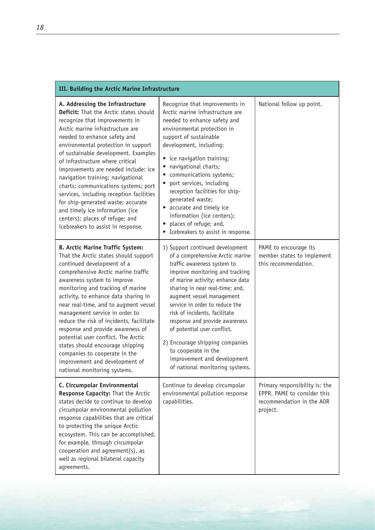| III. Building the Arctic Marine Infrastructure                                                                                                                                                                                                                                                                                                                                                                                                                                                                                                                                                                         |                                                                                                                                                                                                                                                                                                                                                                                                                                                                                                                                                                |                                                                                                        |  |
|------------------------------------------------------------------------------------------------------------------------------------------------------------------------------------------------------------------------------------------------------------------------------------------------------------------------------------------------------------------------------------------------------------------------------------------------------------------------------------------------------------------------------------------------------------------------------------------------------------------------|----------------------------------------------------------------------------------------------------------------------------------------------------------------------------------------------------------------------------------------------------------------------------------------------------------------------------------------------------------------------------------------------------------------------------------------------------------------------------------------------------------------------------------------------------------------|--------------------------------------------------------------------------------------------------------|--|
| A. Addressing the Infrastructure<br>Deficit: That the Arctic states should<br>recognize that improvements in<br>Arctic marine infrastructure are<br>needed to enhance safety and<br>environmental protection in support<br>of sustainable development. Examples<br>of infrastructure where critical<br>improvements are needed include: ice<br>navigation training; navigational<br>charts; communications systems; port<br>services, including reception facilities<br>for ship-generated waste; accurate<br>and timely ice information (ice<br>centers); places of refuge; and<br>icebreakers to assist in response. | Recognize that improvements in<br>Arctic marine infrastructure are<br>needed to enhance safety and<br>environmental protection in<br>support of sustainable<br>development, including:<br>ice navigation training;<br>$\bullet$<br>navigational charts;<br>$\bullet$<br>communications systems;<br>$\bullet$<br>port services, including<br>$\bullet$<br>reception facilities for ship-<br>generated waste;<br>accurate and timely ice<br>$\bullet$<br>information (ice centers);<br>places of refuge; and,<br>$\bullet$<br>Icebreakers to assist in response. | National follow up point.                                                                              |  |
| <b>B. Arctic Marine Traffic System:</b><br>That the Arctic states should support<br>continued development of a<br>comprehensive Arctic marine traffic<br>awareness system to improve<br>monitoring and tracking of marine<br>activity, to enhance data sharing in<br>near real-time, and to augment vessel<br>management service in order to<br>reduce the risk of incidents, facilitate<br>response and provide awareness of<br>potential user conflict. The Arctic<br>states should encourage shipping<br>companies to cooperate in the<br>improvement and development of<br>national monitoring systems.            | 1) Support continued development<br>of a comprehensive Arctic marine<br>traffic awareness system to<br>improve monitoring and tracking<br>of marine activity; enhance data<br>sharing in near real-time; and,<br>augment vessel management<br>service in order to reduce the<br>risk of incidents, facilitate<br>response and provide awareness<br>of potential user conflict.<br>2) Encourage shipping companies<br>to cooperate in the<br>improvement and development<br>of national monitoring systems.                                                     | PAME to encourage its<br>member states to implement<br>this recommendation.                            |  |
| C. Circumpolar Environmental<br>Response Capacity: That the Arctic<br>states decide to continue to develop<br>circumpolar environmental pollution<br>response capabilities that are critical<br>to protecting the unique Arctic<br>ecosystem. This can be accomplished,<br>for example, through circumpolar<br>cooperation and agreement(s), as<br>well as regional bilateral capacity<br>agreements.                                                                                                                                                                                                                  | Continue to develop circumpolar<br>environmental pollution response<br>capabilities.                                                                                                                                                                                                                                                                                                                                                                                                                                                                           | Primary responsibility is: the<br>EPPR. PAME to consider this<br>recommendation in the AOR<br>project. |  |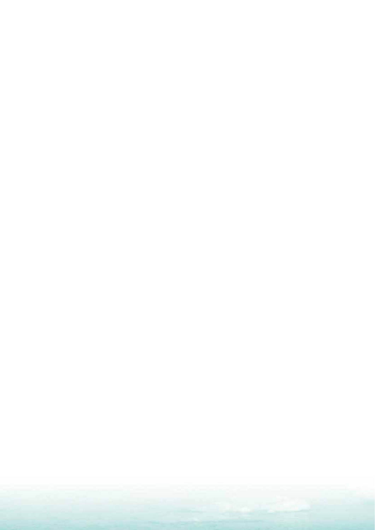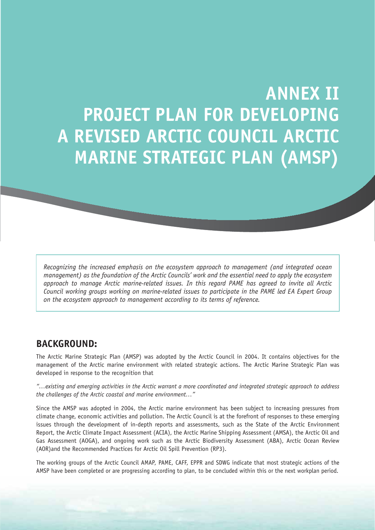# **ANNEX II PROJECT PLAN FOR DEVELOPING A REVISED ARCTIC COUNCIL ARCTIC MARINE STRATEGIC PLAN (AMSP)**

*Recognizing the increased emphasis on the ecosystem approach to management (and integrated ocean management) as the foundation of the Arctic Councils' work and the essential need to apply the ecosystem approach to manage Arctic marine-related issues. In this regard PAME has agreed to invite all Arctic Council working groups working on marine-related issues to participate in the PAME led EA Expert Group on the ecosystem approach to management according to its terms of reference.*

#### **BACKGROUND:**

The Arctic Marine Strategic Plan (AMSP) was adopted by the Arctic Council in 2004. It contains objectives for the management of the Arctic marine environment with related strategic actions. The Arctic Marine Strategic Plan was developed in response to the recognition that

*"…existing and emerging activities in the Arctic warrant a more coordinated and integrated strategic approach to address the challenges of the Arctic coastal and marine environment…"* 

Since the AMSP was adopted in 2004, the Arctic marine environment has been subject to increasing pressures from climate change, economic activities and pollution. The Arctic Council is at the forefront of responses to these emerging issues through the development of in-depth reports and assessments, such as the State of the Arctic Environment Report, the Arctic Climate Impact Assessment (ACIA), the Arctic Marine Shipping Assessment (AMSA), the Arctic Oil and Gas Assessment (AOGA), and ongoing work such as the Arctic Biodiversity Assessment (ABA), Arctic Ocean Review (AOR)and the Recommended Practices for Arctic Oil Spill Prevention (RP3).

The working groups of the Arctic Council AMAP, PAME, CAFF, EPPR and SDWG indicate that most strategic actions of the AMSP have been completed or are progressing according to plan, to be concluded within this or the next workplan period.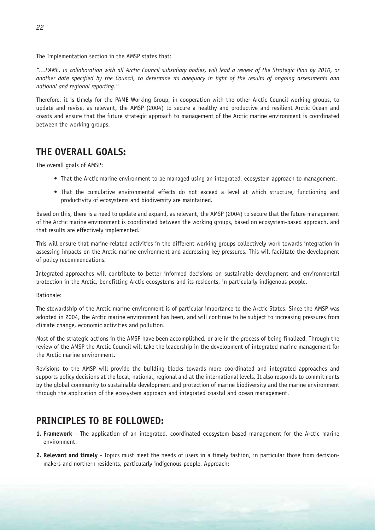The Implementation section in the AMSP states that:

*"…PAME, in collaboration with all Arctic Council subsidiary bodies, will lead a review of the Strategic Plan by 2010, or another date specified by the Council, to determine its adequacy in light of the results of ongoing assessments and national and regional reporting."* 

Therefore, it is timely for the PAME Working Group, in cooperation with the other Arctic Council working groups, to update and revise, as relevant, the AMSP (2004) to secure a healthy and productive and resilient Arctic Ocean and coasts and ensure that the future strategic approach to management of the Arctic marine environment is coordinated between the working groups.

### **THE OVERALL GOALS:**

The overall goals of AMSP:

- That the Arctic marine environment to be managed using an integrated, ecosystem approach to management.
- That the cumulative environmental effects do not exceed a level at which structure, functioning and productivity of ecosystems and biodiversity are maintained.

Based on this, there is a need to update and expand, as relevant, the AMSP (2004) to secure that the future management of the Arctic marine environment is coordinated between the working groups, based on ecosystem-based approach, and that results are effectively implemented.

This will ensure that marine-related activities in the different working groups collectively work towards integration in assessing impacts on the Arctic marine environment and addressing key pressures. This will facilitate the development of policy recommendations.

Integrated approaches will contribute to better informed decisions on sustainable development and environmental protection in the Arctic, benefitting Arctic ecosystems and its residents, in particularly indigenous people.

Rationale:

The stewardship of the Arctic marine environment is of particular importance to the Arctic States. Since the AMSP was adopted in 2004, the Arctic marine environment has been, and will continue to be subject to increasing pressures from climate change, economic activities and pollution.

Most of the strategic actions in the AMSP have been accomplished, or are in the process of being finalized. Through the review of the AMSP the Arctic Council will take the leadership in the development of integrated marine management for the Arctic marine environment.

Revisions to the AMSP will provide the building blocks towards more coordinated and integrated approaches and supports policy decisions at the local, national, regional and at the international levels. It also responds to commitments by the global community to sustainable development and protection of marine biodiversity and the marine environment through the application of the ecosystem approach and integrated coastal and ocean management.

#### **PRINCIPLES TO BE FOLLOWED:**

- **1. Framework**  The application of an integrated, coordinated ecosystem based management for the Arctic marine environment.
- **2. Relevant and timely** Topics must meet the needs of users in a timely fashion, in particular those from decisionmakers and northern residents, particularly indigenous people. Approach: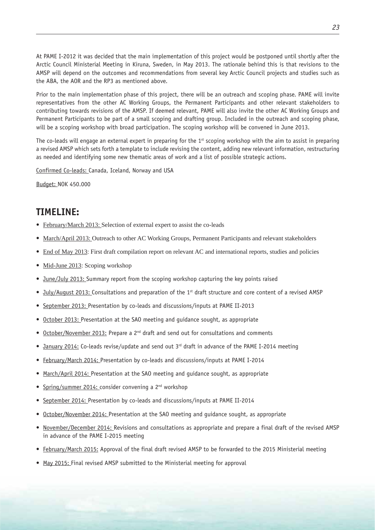At PAME I-2012 it was decided that the main implementation of this project would be postponed until shortly after the Arctic Council Ministerial Meeting in Kiruna, Sweden, in May 2013. The rationale behind this is that revisions to the AMSP will depend on the outcomes and recommendations from several key Arctic Council projects and studies such as the ABA, the AOR and the RP3 as mentioned above.

Prior to the main implementation phase of this project, there will be an outreach and scoping phase. PAME will invite representatives from the other AC Working Groups, the Permanent Participants and other relevant stakeholders to contributing towards revisions of the AMSP. If deemed relevant, PAME will also invite the other AC Working Groups and Permanent Participants to be part of a small scoping and drafting group. Included in the outreach and scoping phase, will be a scoping workshop with broad participation. The scoping workshop will be convened in June 2013.

The co-leads will engage an external expert in preparing for the  $1<sup>st</sup>$  scoping workshop with the aim to assist in preparing a revised AMSP which sets forth a template to include revising the content, adding new relevant information, restructuring as needed and identifying some new thematic areas of work and a list of possible strategic actions.

Confirmed Co-leads: Canada, Iceland, Norway and USA

Budget: NOK 450.000

### **TIMELINE:**

- February/March 2013: Selection of external expert to assist the co-leads
- March/April 2013: Outreach to other AC Working Groups, Permanent Participants and relevant stakeholders
- End of May 2013: First draft compilation report on relevant AC and international reports, studies and policies
- Mid-June 2013: Scoping workshop
- June/July 2013: Summary report from the scoping workshop capturing the key points raised
- July/August 2013: Consultations and preparation of the 1<sup>st</sup> draft structure and core content of a revised AMSP
- September 2013: Presentation by co-leads and discussions/inputs at PAME II-2013
- October 2013: Presentation at the SAO meeting and guidance sought, as appropriate
- October/November 2013: Prepare a 2<sup>nd</sup> draft and send out for consultations and comments
- January 2014: Co-leads revise/update and send out 3<sup>rd</sup> draft in advance of the PAME I-2014 meeting
- February/March 2014: Presentation by co-leads and discussions/inputs at PAME I-2014
- March/April 2014: Presentation at the SAO meeting and guidance sought, as appropriate
- Spring/summer 2014: consider convening a 2<sup>nd</sup> workshop
- September 2014: Presentation by co-leads and discussions/inputs at PAME II-2014
- October/November 2014: Presentation at the SAO meeting and guidance sought, as appropriate
- November/December 2014: Revisions and consultations as appropriate and prepare a final draft of the revised AMSP in advance of the PAME I-2015 meeting
- February/March 2015: Approval of the final draft revised AMSP to be forwarded to the 2015 Ministerial meeting
- May 2015: Final revised AMSP submitted to the Ministerial meeting for approval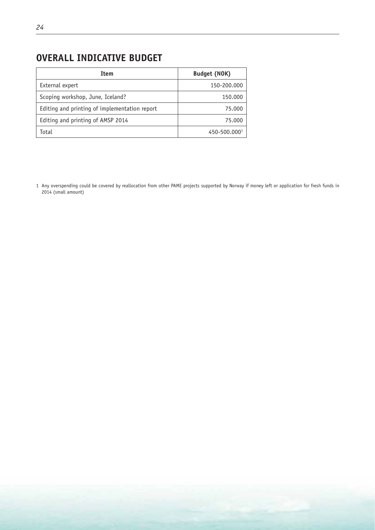# **OVERALL INDICATIVE BUDGET**

| <b>Item</b>                                   | Budget (NOK) |
|-----------------------------------------------|--------------|
| External expert                               | 150-200.000  |
| Scoping workshop, June, Iceland?              | 150.000      |
| Editing and printing of implementation report | 75,000       |
| Editing and printing of AMSP 2014             | 75.000       |
| Total                                         | 450-500.0001 |

1 Any overspending could be covered by reallocation from other PAME projects supported by Norway if money left or application for fresh funds in 2014 (small amount)